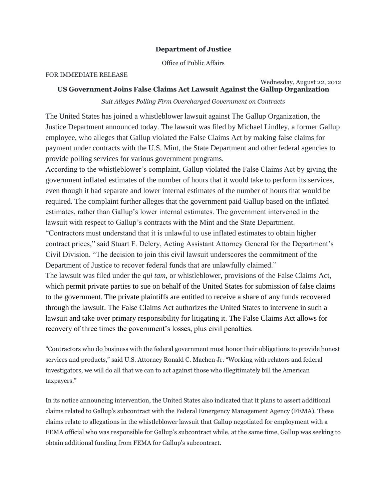## **Department of Justice**

Office of Public Affairs

## FOR IMMEDIATE RELEASE

## Wednesday, August 22, 2012 **US Government Joins False Claims Act Lawsuit Against the Gallup Organization**

*Suit Alleges Polling Firm Overcharged Government on Contracts*

The United States has joined a whistleblower lawsuit against The Gallup Organization, the Justice Department announced today. The lawsuit was filed by Michael Lindley, a former Gallup employee, who alleges that Gallup violated the False Claims Act by making false claims for payment under contracts with the U.S. Mint, the State Department and other federal agencies to provide polling services for various government programs.

According to the whistleblower's complaint, Gallup violated the False Claims Act by giving the government inflated estimates of the number of hours that it would take to perform its services, even though it had separate and lower internal estimates of the number of hours that would be required. The complaint further alleges that the government paid Gallup based on the inflated estimates, rather than Gallup's lower internal estimates. The government intervened in the lawsuit with respect to Gallup's contracts with the Mint and the State Department.

"Contractors must understand that it is unlawful to use inflated estimates to obtain higher contract prices," said Stuart F. Delery, Acting Assistant Attorney General for the Department's Civil Division. "The decision to join this civil lawsuit underscores the commitment of the Department of Justice to recover federal funds that are unlawfully claimed."

The lawsuit was filed under the *qui tam,* or whistleblower, provisions of the False Claims Act, which permit private parties to sue on behalf of the United States for submission of false claims to the government. The private plaintiffs are entitled to receive a share of any funds recovered through the lawsuit. The False Claims Act authorizes the United States to intervene in such a lawsuit and take over primary responsibility for litigating it. The False Claims Act allows for recovery of three times the government's losses, plus civil penalties.

"Contractors who do business with the federal government must honor their obligations to provide honest services and products," said U.S. Attorney Ronald C. Machen Jr. "Working with relators and federal investigators, we will do all that we can to act against those who illegitimately bill the American taxpayers."

In its notice announcing intervention, the United States also indicated that it plans to assert additional claims related to Gallup's subcontract with the Federal Emergency Management Agency (FEMA). These claims relate to allegations in the whistleblower lawsuit that Gallup negotiated for employment with a FEMA official who was responsible for Gallup's subcontract while, at the same time, Gallup was seeking to obtain additional funding from FEMA for Gallup's subcontract.